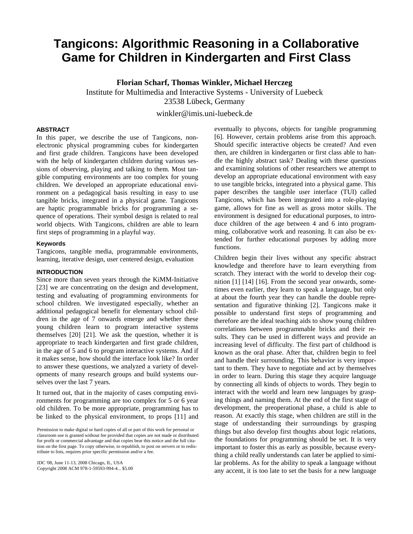# **Tangicons: Algorithmic Reasoning in a Collaborative Game for Children in Kindergarten and First Class**

**Florian Scharf, Thomas Winkler, Michael Herczeg**

Institute for Multimedia and Interactive Systems - University of Luebeck

23538 Lübeck, Germany

winkler@imis.uni-luebeck.de

## **ABSTRACT**

In this paper, we describe the use of Tangicons, nonelectronic physical programming cubes for kindergarten and first grade children. Tangicons have been developed with the help of kindergarten children during various sessions of observing, playing and talking to them. Most tangible computing environments are too complex for young children. We developed an appropriate educational environment on a pedagogical basis resulting in easy to use tangible bricks, integrated in a physical game. Tangicons are haptic programmable bricks for programming a sequence of operations. Their symbol design is related to real world objects. With Tangicons, children are able to learn first steps of programming in a playful way.

#### **Keywords**

Tangicons, tangible media, programmable environments, learning, iterative design, user centered design, evaluation

#### **INTRODUCTION**

Since more than seven years through the KiMM-Initiative [23] we are concentrating on the design and development, testing and evaluating of programming environments for school children. We investigated especially, whether an additional pedagogical benefit for elementary school children in the age of 7 onwards emerge and whether these young children learn to program interactive systems themselves [20] [21]. We ask the question, whether it is appropriate to teach kindergarten and first grade children, in the age of 5 and 6 to program interactive systems. And if it makes sense, how should the interface look like? In order to answer these questions, we analyzed a variety of developments of many research groups and build systems ourselves over the last 7 years.

It turned out, that in the majority of cases computing environments for programming are too complex for 5 or 6 year old children. To be more appropriate, programming has to be linked to the physical environment, to props [11] and

Permission to make digital or hard copies of all or part of this work for personal or classroom use is granted without fee provided that copies are not made or distributed for profit or commercial advantage and that copies bear this notice and the full citation on the first page. To copy otherwise, to republish, to post on servers or to redistribute to lists, requires prior specific permission and/or a fee.

IDC '08, June 11-13, 2008 Chicago, IL, USA Copyright 2008 ACM 978-1-59593-994-4... \$5.00 eventually to phycons, objects for tangible programming [6]. However, certain problems arise from this approach. Should specific interactive objects be created? And even then, are children in kindergarten or first class able to handle the highly abstract task? Dealing with these questions and examining solutions of other researchers we attempt to develop an appropriate educational environment with easy to use tangible bricks, integrated into a physical game. This paper describes the tangible user interface (TUI) called Tangicons, which has been integrated into a role-playing game, allows for fine as well as gross motor skills. The environment is designed for educational purposes, to introduce children of the age between 4 and 6 into programming, collaborative work and reasoning. It can also be extended for further educational purposes by adding more functions.

Children begin their lives without any specific abstract knowledge and therefore have to learn everything from scratch. They interact with the world to develop their cognition [1] [14] [16]. From the second year onwards, sometimes even earlier, they learn to speak a language, but only at about the fourth year they can handle the double representation and figurative thinking [2]. Tangicons make it possible to understand first steps of programming and therefore are the ideal teaching aids to show young children correlations between programmable bricks and their results. They can be used in different ways and provide an increasing level of difficulty. The first part of childhood is known as the oral phase. After that, children begin to feel and handle their surrounding. This behavior is very important to them. They have to negotiate and act by themselves in order to learn. During this stage they acquire language by connecting all kinds of objects to words. They begin to interact with the world and learn new languages by grasping things and naming them. At the end of the first stage of development, the preoperational phase, a child is able to reason. At exactly this stage, when children are still in the stage of understanding their surroundings by grasping things but also develop first thoughts about logic relations, the foundations for programming should be set. It is very important to foster this as early as possible, because everything a child really understands can later be applied to similar problems. As for the ability to speak a language without any accent, it is too late to set the basis for a new language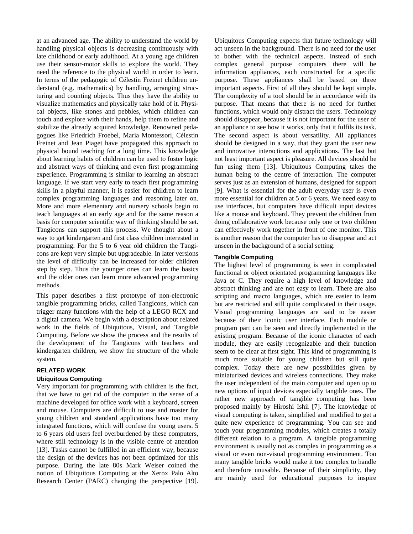at an advanced age. The ability to understand the world by handling physical objects is decreasing continuously with late childhood or early adulthood. At a young age children use their sensor-motor skills to explore the world. They need the reference to the physical world in order to learn. In terms of the pedagogic of Célestin Freinet children understand (e.g. mathematics) by handling, arranging structuring and counting objects. Thus they have the ability to visualize mathematics and physically take hold of it. Physical objects, like stones and pebbles, which children can touch and explore with their hands, help them to refine and stabilize the already acquired knowledge. Renowned pedagogues like Friedrich Froebel, Maria Montessori, Célestin Freinet and Jean Piaget have propagated this approach to physical bound teaching for a long time. This knowledge about learning habits of children can be used to foster logic and abstract ways of thinking and even first programming experience. Programming is similar to learning an abstract language. If we start very early to teach first programming skills in a playful manner, it is easier for children to learn complex programming languages and reasoning later on. More and more elementary and nursery schools begin to teach languages at an early age and for the same reason a basis for computer scientific way of thinking should be set. Tangicons can support this process. We thought about a way to get kindergarten and first class children interested in programming. For the 5 to 6 year old children the Tangicons are kept very simple but upgradeable. In later versions the level of difficulty can be increased for older children step by step. Thus the younger ones can learn the basics and the older ones can learn more advanced programming methods.

This paper describes a first prototype of non-electronic tangible programming bricks, called Tangicons, which can trigger many functions with the help of a LEGO RCX and a digital camera. We begin with a description about related work in the fields of Ubiquitous, Visual, and Tangible Computing. Before we show the process and the results of the development of the Tangicons with teachers and kindergarten children, we show the structure of the whole system.

## **RELATED WORK**

## **Ubiquitous Computing**

Very important for programming with children is the fact, that we have to get rid of the computer in the sense of a machine developed for office work with a keyboard, screen and mouse. Computers are difficult to use and master for young children and standard applications have too many integrated functions, which will confuse the young users. 5 to 6 years old users feel overburdened by these computers, where still technology is in the visible centre of attention [13]. Tasks cannot be fulfilled in an efficient way, because the design of the devices has not been optimized for this purpose. During the late 80s Mark Weiser coined the notion of Ubiquitous Computing at the Xerox Palo Alto Research Center (PARC) changing the perspective [19].

Ubiquitous Computing expects that future technology will act unseen in the background. There is no need for the user to bother with the technical aspects. Instead of such complex general purpose computers there will be information appliances, each constructed for a specific purpose. These appliances shall be based on three important aspects. First of all they should be kept simple. The complexity of a tool should be in accordance with its purpose. That means that there is no need for further functions, which would only distract the users. Technology should disappear, because it is not important for the user of an appliance to see how it works, only that it fulfils its task. The second aspect is about versatility. All appliances should be designed in a way, that they grant the user new and innovative interactions and applications. The last but not least important aspect is pleasure. All devices should be fun using them [13]. Ubiquitous Computing takes the human being to the centre of interaction. The computer serves just as an extension of humans, designed for support [9]. What is essential for the adult everyday user is even more essential for children at 5 or 6 years. We need easy to use interfaces, but computers have difficult input devices like a mouse and keyboard. They prevent the children from doing collaborative work because only one or two children can effectively work together in front of one monitor. This is another reason that the computer has to disappear and act unseen in the background of a social setting.

# **Tangible Computing**

The highest level of programming is seen in complicated functional or object orientated programming languages like Java or C. They require a high level of knowledge and abstract thinking and are not easy to learn. There are also scripting and macro languages, which are easier to learn but are restricted and still quite complicated in their usage. Visual programming languages are said to be easier because of their iconic user interface. Each module or program part can be seen and directly implemented in the existing program. Because of the iconic character of each module, they are easily recognizable and their function seem to be clear at first sight. This kind of programming is much more suitable for young children but still quite complex. Today there are new possibilities given by miniaturized devices and wireless connections. They make the user independent of the main computer and open up to new options of input devices especially tangible ones. The rather new approach of tangible computing has been proposed mainly by Hiroshi Ishii [7]. The knowledge of visual computing is taken, simplified and modified to get a quite new experience of programming. You can see and touch your programming modules, which creates a totally different relation to a program. A tangible programming environment is usually not as complex in programming as a visual or even non-visual programming environment. Too many tangible bricks would make it too complex to handle and therefore unusable. Because of their simplicity, they are mainly used for educational purposes to inspire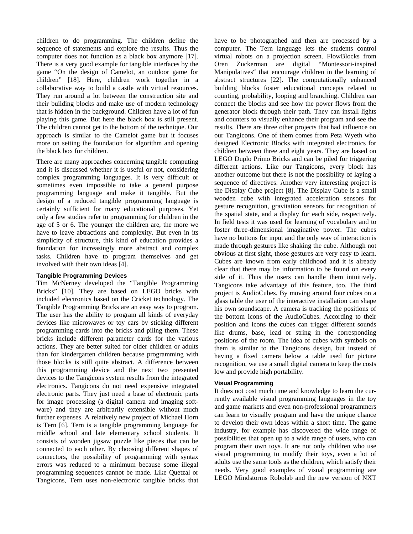children to do programming. The children define the sequence of statements and explore the results. Thus the computer does not function as a black box anymore [17]. There is a very good example for tangible interfaces by the game "On the design of Camelot, an outdoor game for children" [18]. Here, children work together in a collaborative way to build a castle with virtual resources. They run around a lot between the construction site and their building blocks and make use of modern technology that is hidden in the background. Children have a lot of fun playing this game. But here the black box is still present. The children cannot get to the bottom of the technique. Our approach is similar to the Camelot game but it focuses more on setting the foundation for algorithm and opening the black box for children.

There are many approaches concerning tangible computing and it is discussed whether it is useful or not, considering complex programming languages. It is very difficult or sometimes even impossible to take a general purpose programming language and make it tangible. But the design of a reduced tangible programming language is certainly sufficient for many educational purposes. Yet only a few studies refer to programming for children in the age of 5 or 6. The younger the children are, the more we have to leave abtractions and complexity. But even in its simplicity of structure, this kind of education provides a foundation for increasingly more abstract and complex tasks. Children have to program themselves and get involved with their own ideas [4].

## **Tangible Programming Devices**

Tim McNerney developed the "Tangible Programming Bricks" [10]. They are based on LEGO bricks with included electronics based on the Cricket technology. The Tangible Programming Bricks are an easy way to program. The user has the ability to program all kinds of everyday devices like microwaves or toy cars by sticking different programming cards into the bricks and piling them. These bricks include different parameter cards for the various actions. They are better suited for older children or adults than for kindergarten children because programming with those blocks is still quite abstract. A difference between this programming device and the next two presented devices to the Tangicons system results from the integrated electronics. Tangicons do not need expensive integrated electronic parts. They just need a base of electronic parts for image processing (a digital camera and imaging software) and they are arbitrarily extensible without much further expenses. A relatively new project of Michael Horn is Tern [6]. Tern is a tangible programming language for middle school and late elementary school students. It consists of wooden jigsaw puzzle like pieces that can be connected to each other. By choosing different shapes of connectors, the possibility of programming with syntax errors was reduced to a minimum because some illegal programming sequences cannot be made. Like Quetzal or Tangicons, Tern uses non-electronic tangible bricks that

have to be photographed and then are processed by a computer. The Tern language lets the students control virtual robots on a projection screen. FlowBlocks from Oren Zuckerman are digital "Montessori-inspired Manipulatives" that encourage children in the learning of abstract structures [22]. The computationally enhanced building blocks foster educational concepts related to counting, probability, looping and branching. Children can connect the blocks and see how the power flows from the generator block through their path. They can install lights and counters to visually enhance their program and see the results. There are three other projects that had influence on our Tangicons. One of them comes from Peta Wyeth who designed Electronic Blocks with integrated electronics for children between three and eight years. They are based on LEGO Duplo Primo Bricks and can be piled for triggering different actions. Like our Tangicons, every block has another outcome but there is not the possibility of laying a sequence of directives. Another very interesting project is the Display Cube project [8]. The Display Cube is a small wooden cube with integrated acceleration sensors for gesture recognition, gravitation sensors for recognition of the spatial state, and a display for each side, respectively. In field tests it was used for learning of vocabulary and to foster three-dimensional imaginative power. The cubes have no buttons for input and the only way of interaction is made through gestures like shaking the cube. Although not obvious at first sight, those gestures are very easy to learn. Cubes are known from early childhood and it is already clear that there may be information to be found on every side of it. Thus the users can handle them intuitively. Tangicons take advantage of this feature, too. The third project is AudioCubes. By moving around four cubes on a glass table the user of the interactive installation can shape his own soundscape. A camera is tracking the positions of the bottom icons of the AudioCubes. According to their position and icons the cubes can trigger different sounds like drums, base, lead or string in the corresponding positions of the room. The idea of cubes with symbols on them is similar to the Tangicons design, but instead of having a fixed camera below a table used for picture recognition, we use a small digital camera to keep the costs low and provide high portability.

## **Visual Programming**

It does not cost much time and knowledge to learn the currently available visual programming languages in the toy and game markets and even non-professional programmers can learn to visually program and have the unique chance to develop their own ideas within a short time. The game industry, for example has discovered the wide range of possibilities that open up to a wide range of users, who can program their own toys. It are not only children who use visual programming to modify their toys, even a lot of adults use the same tools as the children, which satisfy their needs. Very good examples of visual programming are LEGO Mindstorms Robolab and the new version of NXT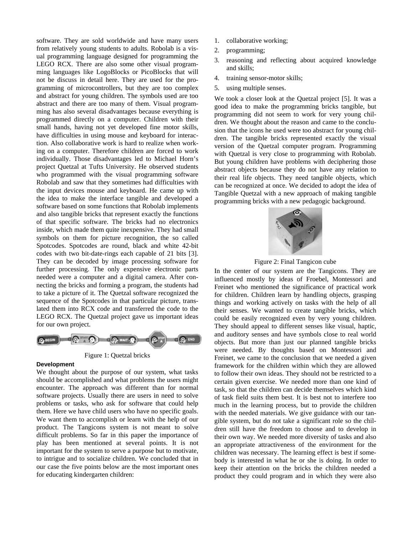software. They are sold worldwide and have many users from relatively young students to adults. Robolab is a visual programming language designed for programming the LEGO RCX. There are also some other visual programming languages like LogoBlocks or PicoBlocks that will not be discuss in detail here. They are used for the programming of microcontrollers, but they are too complex and abstract for young children. The symbols used are too abstract and there are too many of them. Visual programming has also several disadvantages because everything is programmed directly on a computer. Children with their small hands, having not yet developed fine motor skills, have difficulties in using mouse and keyboard for interaction. Also collaborative work is hard to realize when working on a computer. Therefore children are forced to work individually. Those disadvantages led to Michael Horn's project Quetzal at Tufts University. He observed students who programmed with the visual programming software Robolab and saw that they sometimes had difficulties with the input devices mouse and keyboard. He came up with the idea to make the interface tangible and developed a software based on some functions that Robolab implements and also tangible bricks that represent exactly the functions of that specific software. The bricks had no electronics inside, which made them quite inexpensive. They had small symbols on them for picture recognition, the so called Spotcodes. Spotcodes are round, black and white 42-bit codes with two bit-date-rings each capable of 21 bits [3]. They can be decoded by image processing software for further processing. The only expensive electronic parts needed were a computer and a digital camera. After connecting the bricks and forming a program, the students had to take a picture of it. The Quetzal software recognized the sequence of the Spotcodes in that particular picture, translated them into RCX code and transferred the code to the LEGO RCX. The Quetzal project gave us important ideas for our own project.



Figure 1: Quetzal bricks

#### **Development**

We thought about the purpose of our system, what tasks should be accomplished and what problems the users might encounter. The approach was different than for normal software projects. Usually there are users in need to solve problems or tasks, who ask for software that could help them. Here we have child users who have no specific goals. We want them to accomplish or learn with the help of our product. The Tangicons system is not meant to solve difficult problems. So far in this paper the importance of play has been mentioned at several points. It is not important for the system to serve a purpose but to motivate, to intrigue and to socialize children. We concluded that in our case the five points below are the most important ones for educating kindergarten children:

- 1. collaborative working;
- 2. programming;
- 3. reasoning and reflecting about acquired knowledge and skills;
- 4. training sensor-motor skills;
- 5. using multiple senses.

We took a closer look at the Quetzal project [5]. It was a good idea to make the programming bricks tangible, but programming did not seem to work for very young children. We thought about the reason and came to the conclusion that the icons he used were too abstract for young children. The tangible bricks represented exactly the visual version of the Quetzal computer program. Programming with Quetzal is very close to programming with Robolab. But young children have problems with deciphering those abstract objects because they do not have any relation to their real life objects. They need tangible objects, which can be recognized at once. We decided to adopt the idea of Tangible Quetzal with a new approach of making tangible programming bricks with a new pedagogic background.



Figure 2: Final Tangicon cube

In the center of our system are the Tangicons. They are influenced mostly by ideas of Froebel, Montessori and Freinet who mentioned the significance of practical work for children. Children learn by handling objects, grasping things and working actively on tasks with the help of all their senses. We wanted to create tangible bricks, which could be easily recognized even by very young children. They should appeal to different senses like visual, haptic, and auditory senses and have symbols close to real world objects. But more than just our planned tangible bricks were needed. By thoughts based on Montessori and Freinet, we came to the conclusion that we needed a given framework for the children within which they are allowed to follow their own ideas. They should not be restricted to a certain given exercise. We needed more than one kind of task, so that the children can decide themselves which kind of task field suits them best. It is best not to interfere too much in the learning process, but to provide the children with the needed materials. We give guidance with our tangible system, but do not take a significant role so the children still have the freedom to choose and to develop in their own way. We needed more diversity of tasks and also an appropriate attractiveness of the environment for the children was necessary. The learning effect is best if somebody is interested in what he or she is doing. In order to keep their attention on the bricks the children needed a product they could program and in which they were also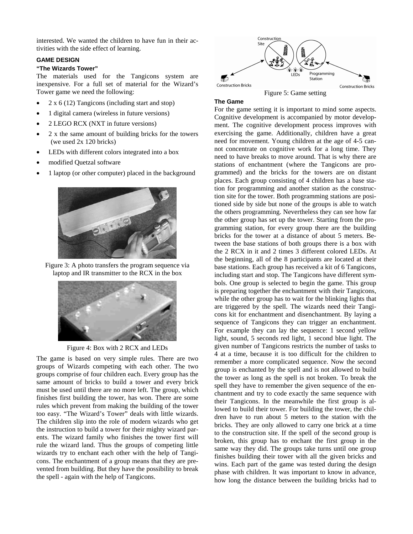interested. We wanted the children to have fun in their activities with the side effect of learning.

## **GAME DESIGN**

### **"The Wizards Tower"**

The materials used for the Tangicons system are inexpensive. For a full set of material for the Wizard's Tower game we need the following:

- $2 \times 6$  (12) Tangicons (including start and stop)
- 1 digital camera (wireless in future versions)
- 2 LEGO RCX (NXT in future versions)
- 2 x the same amount of building bricks for the towers (we used 2x 120 bricks)
- LEDs with different colors integrated into a box
- modified Quetzal software
- 1 laptop (or other computer) placed in the background







Figure 4: Box with 2 RCX and LEDs

The game is based on very simple rules. There are two groups of Wizards competing with each other. The two groups comprise of four children each. Every group has the same amount of bricks to build a tower and every brick must be used until there are no more left. The group, which finishes first building the tower, has won. There are some rules which prevent from making the building of the tower too easy. "The Wizard's Tower" deals with little wizards. The children slip into the role of modern wizards who get the instruction to build a tower for their mighty wizard parents. The wizard family who finishes the tower first will rule the wizard land. Thus the groups of competing little wizards try to enchant each other with the help of Tangicons. The enchantment of a group means that they are prevented from building. But they have the possibility to break the spell - again with the help of Tangicons.



Figure 5: Game setting

#### **The Game**

For the game setting it is important to mind some aspects. Cognitive development is accompanied by motor development. The cognitive development process improves with exercising the game. Additionally, children have a great need for movement. Young children at the age of 4-5 cannot concentrate on cognitive work for a long time. They need to have breaks to move around. That is why there are stations of enchantment (where the Tangicons are programmed) and the bricks for the towers are on distant places. Each group consisting of 4 children has a base station for programming and another station as the construction site for the tower. Both programming stations are positioned side by side but none of the groups is able to watch the others programming. Nevertheless they can see how far the other group has set up the tower. Starting from the programming station, for every group there are the building bricks for the tower at a distance of about 5 meters. Between the base stations of both groups there is a box with the 2 RCX in it and 2 times 3 different colored LEDs. At the beginning, all of the 8 participants are located at their base stations. Each group has received a kit of 6 Tangicons, including start and stop. The Tangicons have different symbols. One group is selected to begin the game. This group is preparing together the enchantment with their Tangicons, while the other group has to wait for the blinking lights that are triggered by the spell. The wizards need their Tangicons kit for enchantment and disenchantment. By laying a sequence of Tangicons they can trigger an enchantment. For example they can lay the sequence: 1 second yellow light, sound, 5 seconds red light, 1 second blue light. The given number of Tangicons restricts the number of tasks to 4 at a time, because it is too difficult for the children to remember a more complicated sequence. Now the second group is enchanted by the spell and is not allowed to build the tower as long as the spell is not broken. To break the spell they have to remember the given sequence of the enchantment and try to code exactly the same sequence with their Tangicons. In the meanwhile the first group is allowed to build their tower. For building the tower, the children have to run about 5 meters to the station with the bricks. They are only allowed to carry one brick at a time to the construction site. If the spell of the second group is broken, this group has to enchant the first group in the same way they did. The groups take turns until one group finishes building their tower with all the given bricks and wins. Each part of the game was tested during the design phase with children. It was important to know in advance, how long the distance between the building bricks had to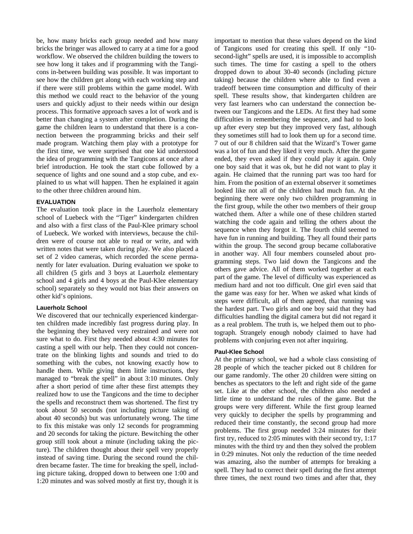be, how many bricks each group needed and how many bricks the bringer was allowed to carry at a time for a good workflow. We observed the children building the towers to see how long it takes and if programming with the Tangicons in-between building was possible. It was important to see how the children get along with each working step and if there were still problems within the game model. With this method we could react to the behavior of the young users and quickly adjust to their needs within our design process. This formative approach saves a lot of work and is better than changing a system after completion. During the game the children learn to understand that there is a connection between the programming bricks and their self made program. Watching them play with a prototype for the first time, we were surprised that one kid understood the idea of programming with the Tangicons at once after a brief introduction. He took the start cube followed by a sequence of lights and one sound and a stop cube, and explained to us what will happen. Then he explained it again to the other three children around him.

#### **EVALUATION**

The evaluation took place in the Lauerholz elementary school of Luebeck with the "Tiger" kindergarten children and also with a first class of the Paul-Klee primary school of Luebeck. We worked with interviews, because the children were of course not able to read or write, and with written notes that were taken during play. We also placed a set of 2 video cameras, which recorded the scene permanently for later evaluation. During evaluation we spoke to all children (5 girls and 3 boys at Lauerholz elementary school and 4 girls and 4 boys at the Paul-Klee elementary school) separately so they would not bias their answers on other kid's opinions.

#### **Lauerholz School**

We discovered that our technically experienced kindergarten children made incredibly fast progress during play. In the beginning they behaved very restrained and were not sure what to do. First they needed about 4:30 minutes for casting a spell with our help. Then they could not concentrate on the blinking lights and sounds and tried to do something with the cubes, not knowing exactly how to handle them. While giving them little instructions, they managed to "break the spell" in about 3:10 minutes. Only after a short period of time after these first attempts they realized how to use the Tangicons and the time to decipher the spells and reconstruct them was shortened. The first try took about 50 seconds (not including picture taking of about 40 seconds) but was unfortunately wrong. The time to fix this mistake was only 12 seconds for programming and 20 seconds for taking the picture. Bewitching the other group still took about a minute (including taking the picture). The children thought about their spell very properly instead of saving time. During the second round the children became faster. The time for breaking the spell, including picture taking, dropped down to between one 1:00 and 1:20 minutes and was solved mostly at first try, though it is

important to mention that these values depend on the kind of Tangicons used for creating this spell. If only "10 second-light" spells are used, it is impossible to accomplish such times. The time for casting a spell to the others dropped down to about 30-40 seconds (including picture taking) because the children where able to find even a tradeoff between time consumption and difficulty of their spell. These results show, that kindergarten children are very fast learners who can understand the connection between our Tangicons and the LEDs. At first they had some difficulties in remembering the sequence, and had to look up after every step but they improved very fast, although they sometimes still had to look them up for a second time. 7 out of our 8 children said that the Wizard's Tower game was a lot of fun and they liked it very much. After the game ended, they even asked if they could play it again. Only one boy said that it was ok, but he did not want to play it again. He claimed that the running part was too hard for him. From the position of an external observer it sometimes looked like not all of the children had much fun. At the beginning there were only two children programming in the first group, while the other two members of their group watched them. After a while one of these children started watching the code again and telling the others about the sequence when they forgot it. The fourth child seemed to have fun in running and building. They all found their parts within the group. The second group became collaborative in another way. All four members counseled about programming steps. Two laid down the Tangicons and the others gave advice. All of them worked together at each part of the game. The level of difficulty was experienced as medium hard and not too difficult. One girl even said that the game was easy for her. When we asked what kinds of steps were difficult, all of them agreed, that running was the hardest part. Two girls and one boy said that they had difficulties handling the digital camera but did not regard it as a real problem. The truth is, we helped them out to photograph. Strangely enough nobody claimed to have had problems with conjuring even not after inquiring.

## **Paul-Klee School**

At the primary school, we had a whole class consisting of 28 people of which the teacher picked out 8 children for our game randomly. The other 20 children were sitting on benches as spectators to the left and right side of the game set. Like at the other school, the children also needed a little time to understand the rules of the game. But the groups were very different. While the first group learned very quickly to decipher the spells by programming and reduced their time constantly, the second group had more problems. The first group needed 3:24 minutes for their first try, reduced to 2:05 minutes with their second try, 1:17 minutes with the third try and then they solved the problem in 0:29 minutes. Not only the reduction of the time needed was amazing, also the number of attempts for breaking a spell. They had to correct their spell during the first attempt three times, the next round two times and after that, they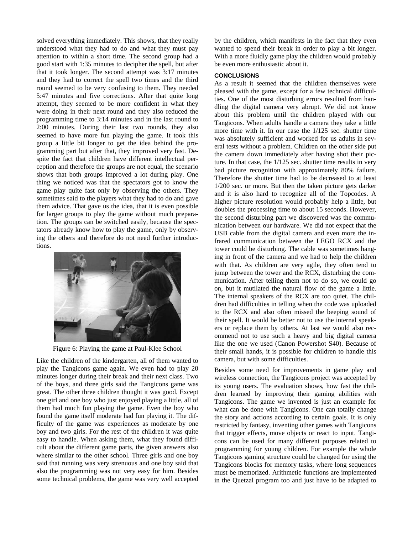solved everything immediately. This shows, that they really understood what they had to do and what they must pay attention to within a short time. The second group had a good start with 1:35 minutes to decipher the spell, but after that it took longer. The second attempt was 3:17 minutes and they had to correct the spell two times and the third round seemed to be very confusing to them. They needed 5:47 minutes and five corrections. After that quite long attempt, they seemed to be more confident in what they were doing in their next round and they also reduced the programming time to 3:14 minutes and in the last round to 2:00 minutes. During their last two rounds, they also seemed to have more fun playing the game. It took this group a little bit longer to get the idea behind the programming part but after that, they improved very fast. Despite the fact that children have different intellectual perception and therefore the groups are not equal, the scenario shows that both groups improved a lot during play. One thing we noticed was that the spectators got to know the game play quite fast only by observing the others. They sometimes said to the players what they had to do and gave them advice. That gave us the idea, that it is even possible for larger groups to play the game without much preparation. The groups can be switched easily, because the spectators already know how to play the game, only by observing the others and therefore do not need further introductions.



Figure 6: Playing the game at Paul-Klee School

Like the children of the kindergarten, all of them wanted to play the Tangicons game again. We even had to play 20 minutes longer during their break and their next class. Two of the boys, and three girls said the Tangicons game was great. The other three children thought it was good. Except one girl and one boy who just enjoyed playing a little, all of them had much fun playing the game. Even the boy who found the game itself moderate had fun playing it. The difficulty of the game was experiences as moderate by one boy and two girls. For the rest of the children it was quite easy to handle. When asking them, what they found difficult about the different game parts, the given answers also where similar to the other school. Three girls and one boy said that running was very strenuous and one boy said that also the programming was not very easy for him. Besides some technical problems, the game was very well accepted

by the children, which manifests in the fact that they even wanted to spend their break in order to play a bit longer. With a more fluidly game play the children would probably be even more enthusiastic about it.

# **CONCLUSIONS**

As a result it seemed that the children themselves were pleased with the game, except for a few technical difficulties. One of the most disturbing errors resulted from handling the digital camera very abrupt. We did not know about this problem until the children played with our Tangicons. When adults handle a camera they take a little more time with it. In our case the 1/125 sec. shutter time was absolutely sufficient and worked for us adults in several tests without a problem. Children on the other side put the camera down immediately after having shot their picture. In that case, the 1/125 sec. shutter time results in very bad picture recognition with approximately 80% failure. Therefore the shutter time had to be decreased to at least 1/200 sec. or more. But then the taken picture gets darker and it is also hard to recognize all of the Topcodes. A higher picture resolution would probably help a little, but doubles the processing time to about 15 seconds. However, the second disturbing part we discovered was the communication between our hardware. We did not expect that the USB cable from the digital camera and even more the infrared communication between the LEGO RCX and the tower could be disturbing. The cable was sometimes hanging in front of the camera and we had to help the children with that. As children are very agile, they often tend to jump between the tower and the RCX, disturbing the communication. After telling them not to do so, we could go on, but it mutilated the natural flow of the game a little. The internal speakers of the RCX are too quiet. The children had difficulties in telling when the code was uploaded to the RCX and also often missed the beeping sound of their spell. It would be better not to use the internal speakers or replace them by others. At last we would also recommend not to use such a heavy and big digital camera like the one we used (Canon Powershot S40). Because of their small hands, it is possible for children to handle this camera, but with some difficulties.

Besides some need for improvements in game play and wireless connection, the Tangicons project was accepted by its young users. The evaluation shows, how fast the children learned by improving their gaming abilities with Tangicons. The game we invented is just an example for what can be done with Tangicons. One can totally change the story and actions according to certain goals. It is only restricted by fantasy, inventing other games with Tangicons that trigger effects, move objects or react to input. Tangicons can be used for many different purposes related to programming for young children. For example the whole Tangicons gaming structure could be changed for using the Tangicons blocks for memory tasks, where long sequences must be memorized. Arithmetic functions are implemented in the Quetzal program too and just have to be adapted to